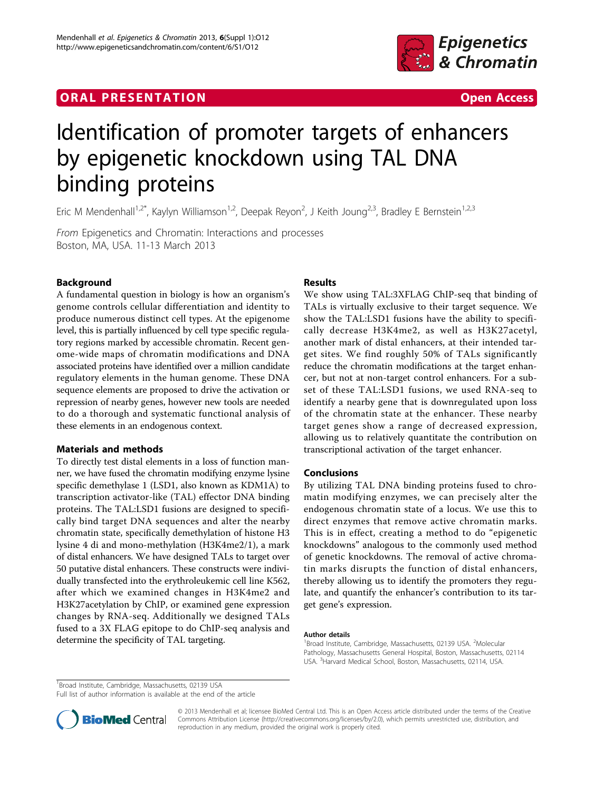# **ORAL PRESENTATION CONSUMING ACCESS**



# Identification of promoter targets of enhancers by epigenetic knockdown using TAL DNA binding proteins

Eric M Mendenhall<sup>1,2\*</sup>, Kaylyn Williamson<sup>1,2</sup>, Deepak Reyon<sup>2</sup>, J Keith Joung<sup>2,3</sup>, Bradley E Bernstein<sup>1,2,3</sup>

From Epigenetics and Chromatin: Interactions and processes Boston, MA, USA. 11-13 March 2013

# Background

A fundamental question in biology is how an organism's genome controls cellular differentiation and identity to produce numerous distinct cell types. At the epigenome level, this is partially influenced by cell type specific regulatory regions marked by accessible chromatin. Recent genome-wide maps of chromatin modifications and DNA associated proteins have identified over a million candidate regulatory elements in the human genome. These DNA sequence elements are proposed to drive the activation or repression of nearby genes, however new tools are needed to do a thorough and systematic functional analysis of these elements in an endogenous context.

## Materials and methods

To directly test distal elements in a loss of function manner, we have fused the chromatin modifying enzyme lysine specific demethylase 1 (LSD1, also known as KDM1A) to transcription activator-like (TAL) effector DNA binding proteins. The TAL:LSD1 fusions are designed to specifically bind target DNA sequences and alter the nearby chromatin state, specifically demethylation of histone H3 lysine 4 di and mono-methylation (H3K4me2/1), a mark of distal enhancers. We have designed TALs to target over 50 putative distal enhancers. These constructs were individually transfected into the erythroleukemic cell line K562, after which we examined changes in H3K4me2 and H3K27acetylation by ChIP, or examined gene expression changes by RNA-seq. Additionally we designed TALs fused to a 3X FLAG epitope to do ChIP-seq analysis and determine the specificity of TAL targeting.

# Results

We show using TAL:3XFLAG ChIP-seq that binding of TALs is virtually exclusive to their target sequence. We show the TAL:LSD1 fusions have the ability to specifically decrease H3K4me2, as well as H3K27acetyl, another mark of distal enhancers, at their intended target sites. We find roughly 50% of TALs significantly reduce the chromatin modifications at the target enhancer, but not at non-target control enhancers. For a subset of these TAL:LSD1 fusions, we used RNA-seq to identify a nearby gene that is downregulated upon loss of the chromatin state at the enhancer. These nearby target genes show a range of decreased expression, allowing us to relatively quantitate the contribution on transcriptional activation of the target enhancer.

## Conclusions

By utilizing TAL DNA binding proteins fused to chromatin modifying enzymes, we can precisely alter the endogenous chromatin state of a locus. We use this to direct enzymes that remove active chromatin marks. This is in effect, creating a method to do "epigenetic knockdowns" analogous to the commonly used method of genetic knockdowns. The removal of active chromatin marks disrupts the function of distal enhancers, thereby allowing us to identify the promoters they regulate, and quantify the enhancer's contribution to its target gene's expression.

#### Author details

<sup>1</sup> Broad Institute, Cambridge, Massachusetts, 02139 USA. <sup>2</sup> Molecular Pathology, Massachusetts General Hospital, Boston, Massachusetts, 02114 USA. <sup>3</sup> Harvard Medical School, Boston, Massachusetts, 02114, USA.

<sup>1</sup> Broad Institute, Cambridge, Massachusetts, 02139 USA

Full list of author information is available at the end of the article



© 2013 Mendenhall et al; licensee BioMed Central Ltd. This is an Open Access article distributed under the terms of the Creative Commons Attribution License [\(http://creativecommons.org/licenses/by/2.0](http://creativecommons.org/licenses/by/2.0)), which permits unrestricted use, distribution, and reproduction in any medium, provided the original work is properly cited.